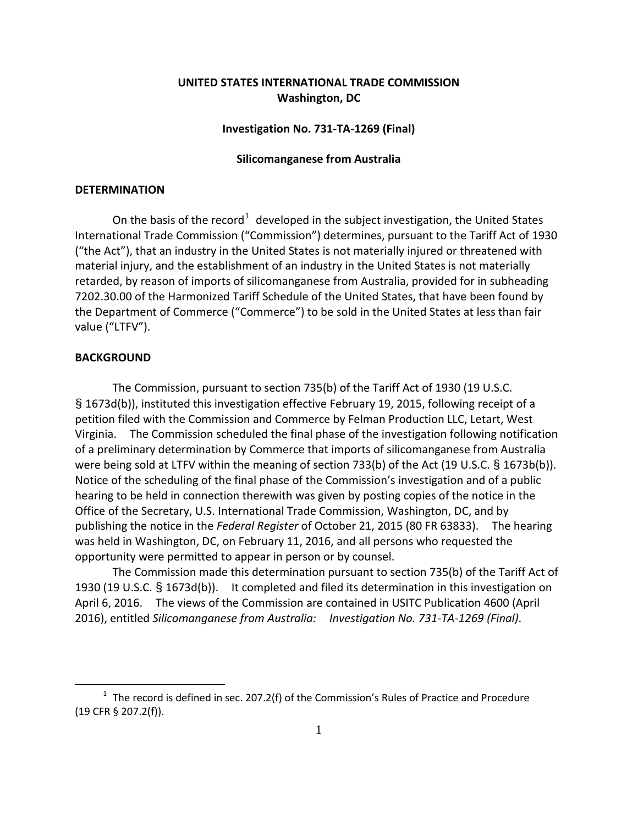# **UNITED STATES INTERNATIONAL TRADE COMMISSION Washington, DC**

## **Investigation No. 731-TA-1269 (Final)**

### **Silicomanganese from Australia**

## **DETERMINATION**

On the basis of the record<sup>[1](#page-0-0)</sup> developed in the subject investigation, the United States International Trade Commission ("Commission") determines, pursuant to the Tariff Act of 1930 ("the Act"), that an industry in the United States is not materially injured or threatened with material injury, and the establishment of an industry in the United States is not materially retarded, by reason of imports of silicomanganese from Australia, provided for in subheading 7202.30.00 of the Harmonized Tariff Schedule of the United States, that have been found by the Department of Commerce ("Commerce") to be sold in the United States at less than fair value ("LTFV").

## **BACKGROUND**

 $\overline{a}$ 

The Commission, pursuant to section 735(b) of the Tariff Act of 1930 (19 U.S.C. § 1673d(b)), instituted this investigation effective February 19, 2015, following receipt of a petition filed with the Commission and Commerce by Felman Production LLC, Letart, West Virginia. The Commission scheduled the final phase of the investigation following notification of a preliminary determination by Commerce that imports of silicomanganese from Australia were being sold at LTFV within the meaning of section 733(b) of the Act (19 U.S.C. § 1673b(b)). Notice of the scheduling of the final phase of the Commission's investigation and of a public hearing to be held in connection therewith was given by posting copies of the notice in the Office of the Secretary, U.S. International Trade Commission, Washington, DC, and by publishing the notice in the *Federal Register* of October 21, 2015 (80 FR 63833). The hearing was held in Washington, DC, on February 11, 2016, and all persons who requested the opportunity were permitted to appear in person or by counsel.

The Commission made this determination pursuant to section 735(b) of the Tariff Act of 1930 (19 U.S.C. § 1673d(b)). It completed and filed its determination in this investigation on April 6, 2016. The views of the Commission are contained in USITC Publication 4600 (April 2016), entitled *Silicomanganese from Australia: Investigation No. 731-TA-1269 (Final)*.

<span id="page-0-0"></span> $1$  The record is defined in sec. 207.2(f) of the Commission's Rules of Practice and Procedure (19 CFR § 207.2(f)).